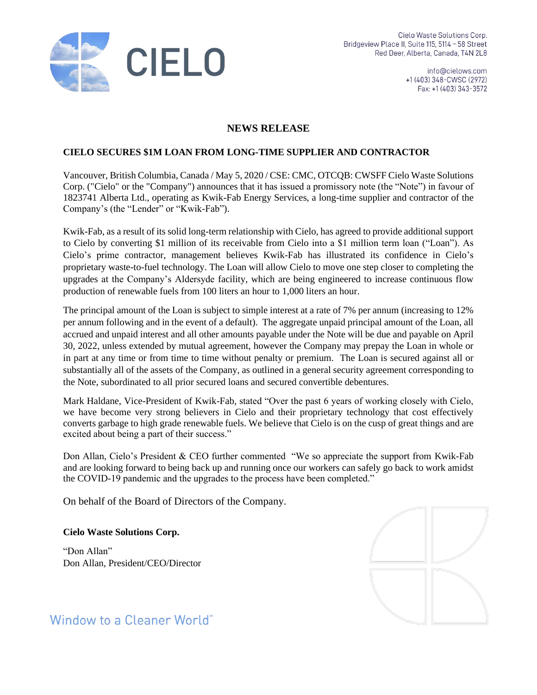

info@cielows.com +1 (403) 348-CWSC (2972) Fax: +1 (403) 343-3572

## **NEWS RELEASE**

### **CIELO SECURES \$1M LOAN FROM LONG-TIME SUPPLIER AND CONTRACTOR**

Vancouver, British Columbia, Canada / May 5, 2020 / CSE: CMC, OTCQB: CWSFF Cielo Waste Solutions Corp. ("Cielo" or the "Company") announces that it has issued a promissory note (the "Note") in favour of 1823741 Alberta Ltd., operating as Kwik-Fab Energy Services, a long-time supplier and contractor of the Company's (the "Lender" or "Kwik-Fab").

Kwik-Fab, as a result of its solid long-term relationship with Cielo, has agreed to provide additional support to Cielo by converting \$1 million of its receivable from Cielo into a \$1 million term loan ("Loan"). As Cielo's prime contractor, management believes Kwik-Fab has illustrated its confidence in Cielo's proprietary waste-to-fuel technology. The Loan will allow Cielo to move one step closer to completing the upgrades at the Company's Aldersyde facility, which are being engineered to increase continuous flow production of renewable fuels from 100 liters an hour to 1,000 liters an hour.

The principal amount of the Loan is subject to simple interest at a rate of 7% per annum (increasing to 12% per annum following and in the event of a default). The aggregate unpaid principal amount of the Loan, all accrued and unpaid interest and all other amounts payable under the Note will be due and payable on April 30, 2022, unless extended by mutual agreement, however the Company may prepay the Loan in whole or in part at any time or from time to time without penalty or premium. The Loan is secured against all or substantially all of the assets of the Company, as outlined in a general security agreement corresponding to the Note, subordinated to all prior secured loans and secured convertible debentures.

Mark Haldane, Vice-President of Kwik-Fab, stated "Over the past 6 years of working closely with Cielo, we have become very strong believers in Cielo and their proprietary technology that cost effectively converts garbage to high grade renewable fuels. We believe that Cielo is on the cusp of great things and are excited about being a part of their success."

Don Allan, Cielo's President & CEO further commented "We so appreciate the support from Kwik-Fab and are looking forward to being back up and running once our workers can safely go back to work amidst the COVID-19 pandemic and the upgrades to the process have been completed."

On behalf of the Board of Directors of the Company.

#### **Cielo Waste Solutions Corp.**

"Don Allan" Don Allan, President/CEO/Director



Window to a Cleaner World"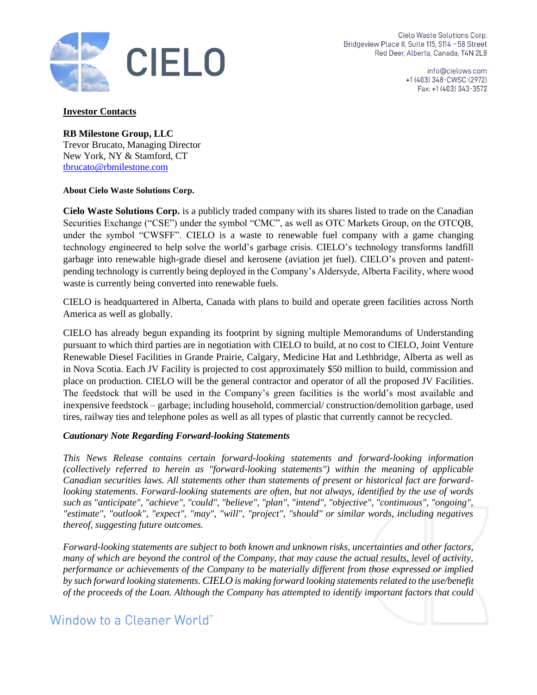

Cielo Waste Solutions Corp. Bridgeview Place II, Suite 115, 5114 - 58 Street Red Deer, Alberta, Canada, T4N 2L8

> info@cielows.com +1 (403) 348-CWSC (2972) Fax: +1 (403) 343-3572

#### **Investor Contacts**

**RB Milestone Group, LLC** Trevor Brucato, Managing Director New York, NY & Stamford, CT [tbrucato@rbmilestone.com](mailto:tbrucato@rbmilestone.com)

#### **About Cielo Waste Solutions Corp.**

**Cielo Waste Solutions Corp.** is a publicly traded company with its shares listed to trade on the Canadian Securities Exchange ("CSE") under the symbol "CMC", as well as OTC Markets Group, on the OTCQB, under the symbol "CWSFF". CIELO is a waste to renewable fuel company with a game changing technology engineered to help solve the world's garbage crisis. CIELO's technology transforms landfill garbage into renewable high-grade diesel and kerosene (aviation jet fuel). CIELO's proven and patentpending technology is currently being deployed in the Company's Aldersyde, Alberta Facility, where wood waste is currently being converted into renewable fuels.

CIELO is headquartered in Alberta, Canada with plans to build and operate green facilities across North America as well as globally.

CIELO has already begun expanding its footprint by signing multiple Memorandums of Understanding pursuant to which third parties are in negotiation with CIELO to build, at no cost to CIELO, Joint Venture Renewable Diesel Facilities in Grande Prairie, Calgary, Medicine Hat and Lethbridge, Alberta as well as in Nova Scotia. Each JV Facility is projected to cost approximately \$50 million to build, commission and place on production. CIELO will be the general contractor and operator of all the proposed JV Facilities. The feedstock that will be used in the Company's green facilities is the world's most available and inexpensive feedstock – garbage; including household, commercial/ construction/demolition garbage, used tires, railway ties and telephone poles as well as all types of plastic that currently cannot be recycled.

#### *Cautionary Note Regarding Forward-looking Statements*

*This News Release contains certain forward-looking statements and forward-looking information (collectively referred to herein as "forward-looking statements") within the meaning of applicable Canadian securities laws. All statements other than statements of present or historical fact are forwardlooking statements. Forward-looking statements are often, but not always, identified by the use of words such as "anticipate", "achieve", "could", "believe", "plan", "intend", "objective", "continuous", "ongoing", "estimate", "outlook", "expect", "may", "will", "project", "should" or similar words, including negatives thereof, suggesting future outcomes.*

*Forward-looking statements are subject to both known and unknown risks, uncertainties and other factors, many of which are beyond the control of the Company, that may cause the actual results, level of activity, performance or achievements of the Company to be materially different from those expressed or implied by such forward looking statements. CIELO is making forward looking statements related to the use/benefit of the proceeds of the Loan. Although the Company has attempted to identify important factors that could* 

# Window to a Cleaner World<sup>\*</sup>